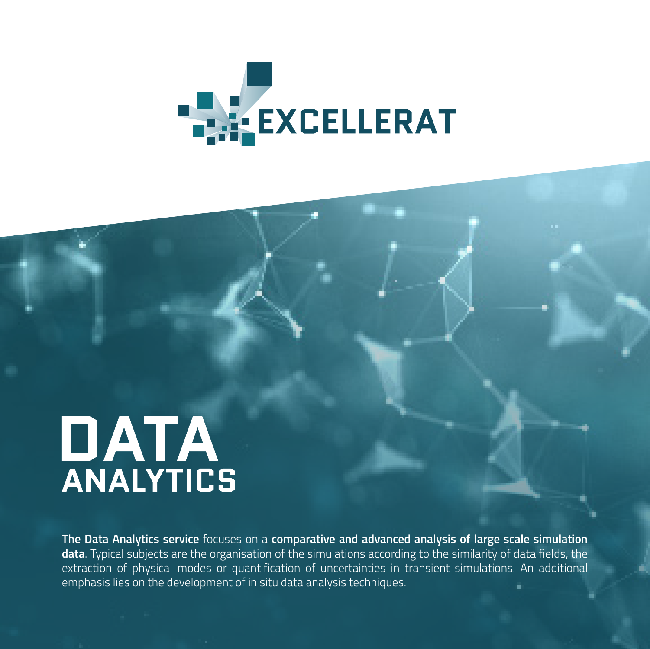

# **DATA**<br>ANALYTICS

**The Data Analytics service** focuses on a **comparative and advanced analysis of large scale simulation data**. Typical subjects are the organisation of the simulations according to the similarity of data fields, the extraction of physical modes or quantification of uncertainties in transient simulations. An additional emphasis lies on the development of in situ data analysis techniques.